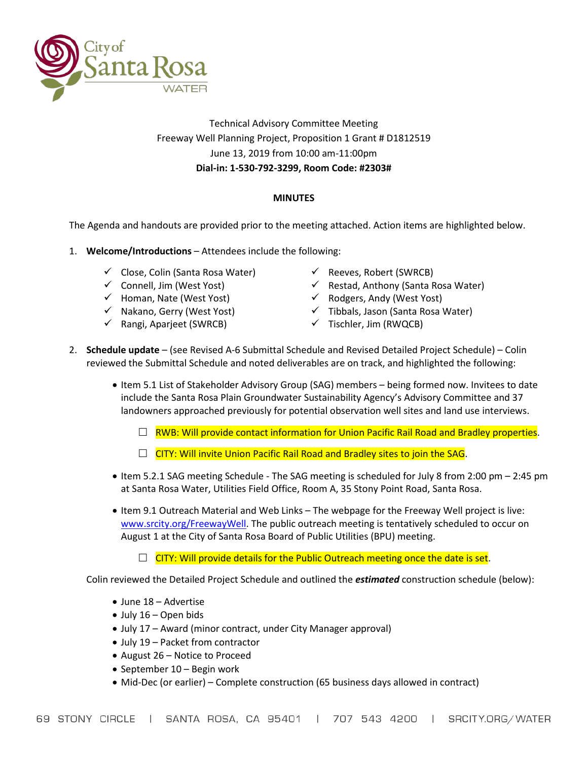

### Technical Advisory Committee Meeting Freeway Well Planning Project, Proposition 1 Grant # D1812519 June 13, 2019 from 10:00 am-11:00pm **Dial-in: 1-530-792-3299, Room Code: #2303#**

### **MINUTES**

The Agenda and handouts are provided prior to the meeting attached. Action items are highlighted below.

- 1. **Welcome/Introductions** Attendees include the following:
	- $\checkmark$  Close, Colin (Santa Rosa Water)
	- $\checkmark$  Connell, Jim (West Yost)
	- $\checkmark$  Homan, Nate (West Yost)
	- $\checkmark$  Nakano, Gerry (West Yost)
	- $\checkmark$  Rangi, Aparieet (SWRCB)
- $\checkmark$  Reeves, Robert (SWRCB)
- $\checkmark$  Restad, Anthony (Santa Rosa Water)
- $\checkmark$  Rodgers, Andy (West Yost)
- $\checkmark$  Tibbals, Jason (Santa Rosa Water)
- $\checkmark$  Tischler, Jim (RWQCB)
- 2. **Schedule update** (see Revised A-6 Submittal Schedule and Revised Detailed Project Schedule) Colin reviewed the Submittal Schedule and noted deliverables are on track, and highlighted the following:
	- Item 5.1 List of Stakeholder Advisory Group (SAG) members being formed now. Invitees to date include the Santa Rosa Plain Groundwater Sustainability Agency's Advisory Committee and 37 landowners approached previously for potential observation well sites and land use interviews.
		- $\Box$  RWB: Will provide contact information for Union Pacific Rail Road and Bradley properties.
		- $\Box$  CITY: Will invite Union Pacific Rail Road and Bradley sites to join the SAG.
	- Item 5.2.1 SAG meeting Schedule The SAG meeting is scheduled for July 8 from 2:00 pm 2:45 pm at Santa Rosa Water, Utilities Field Office, Room A, 35 Stony Point Road, Santa Rosa.
	- Item 9.1 Outreach Material and Web Links The webpage for the Freeway Well project is live: [www.srcity.org/FreewayWell.](http://www.srcity.org/FreewayWell) The public outreach meeting is tentatively scheduled to occur on August 1 at the City of Santa Rosa Board of Public Utilities (BPU) meeting.

 $\Box$  CITY: Will provide details for the Public Outreach meeting once the date is set.

Colin reviewed the Detailed Project Schedule and outlined the *estimated* construction schedule (below):

- June 18 Advertise
- July 16 Open bids
- July 17 Award (minor contract, under City Manager approval)
- July 19 Packet from contractor
- August 26 Notice to Proceed
- September 10 Begin work
- Mid-Dec (or earlier) Complete construction (65 business days allowed in contract)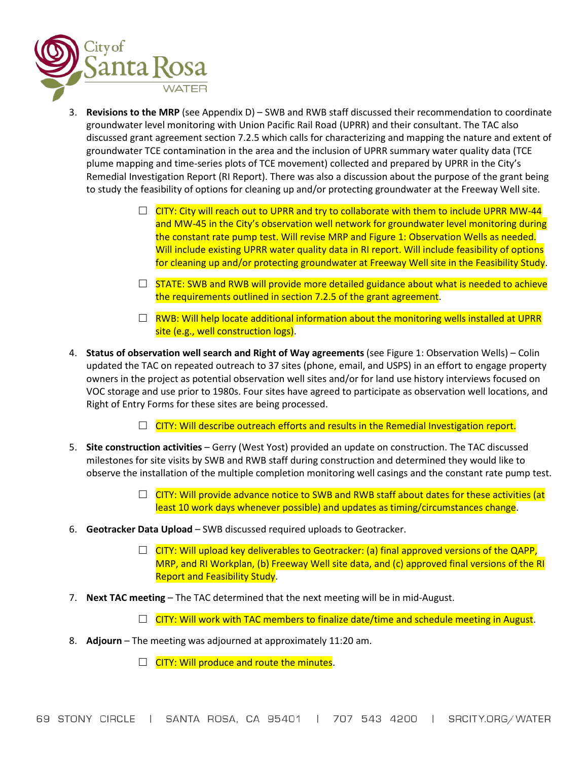

- 3. **Revisions to the MRP** (see Appendix D) SWB and RWB staff discussed their recommendation to coordinate groundwater level monitoring with Union Pacific Rail Road (UPRR) and their consultant. The TAC also discussed grant agreement section 7.2.5 which calls for characterizing and mapping the nature and extent of groundwater TCE contamination in the area and the inclusion of UPRR summary water quality data (TCE plume mapping and time-series plots of TCE movement) collected and prepared by UPRR in the City's Remedial Investigation Report (RI Report). There was also a discussion about the purpose of the grant being to study the feasibility of options for cleaning up and/or protecting groundwater at the Freeway Well site.
	- $\Box$  CITY: City will reach out to UPRR and try to collaborate with them to include UPRR MW-44 and MW-45 in the City's observation well network for groundwater level monitoring during the constant rate pump test. Will revise MRP and Figure 1: Observation Wells as needed. Will include existing UPRR water quality data in RI report. Will include feasibility of options for cleaning up and/or protecting groundwater at Freeway Well site in the Feasibility Study.
	- $\Box$  STATE: SWB and RWB will provide more detailed guidance about what is needed to achieve the requirements outlined in section 7.2.5 of the grant agreement.
	- $\Box$  RWB: Will help locate additional information about the monitoring wells installed at UPRR site (e.g., well construction logs).
- 4. **Status of observation well search and Right of Way agreements** (see Figure 1: Observation Wells) Colin updated the TAC on repeated outreach to 37 sites (phone, email, and USPS) in an effort to engage property owners in the project as potential observation well sites and/or for land use history interviews focused on VOC storage and use prior to 1980s. Four sites have agreed to participate as observation well locations, and Right of Entry Forms for these sites are being processed.
	- $\Box$  CITY: Will describe outreach efforts and results in the Remedial Investigation report.
- 5. **Site construction activities** Gerry (West Yost) provided an update on construction. The TAC discussed milestones for site visits by SWB and RWB staff during construction and determined they would like to observe the installation of the multiple completion monitoring well casings and the constant rate pump test.
	- $\Box$  CITY: Will provide advance notice to SWB and RWB staff about dates for these activities (at least 10 work days whenever possible) and updates as timing/circumstances change.
- 6. **Geotracker Data Upload**  SWB discussed required uploads to Geotracker.
	- $\Box$  CITY: Will upload key deliverables to Geotracker: (a) final approved versions of the QAPP, MRP, and RI Workplan, (b) Freeway Well site data, and (c) approved final versions of the RI Report and Feasibility Study.
- 7. **Next TAC meeting** The TAC determined that the next meeting will be in mid-August.
	- $\Box$  CITY: Will work with TAC members to finalize date/time and schedule meeting in August.
- 8. **Adjourn**  The meeting was adjourned at approximately 11:20 am.
	- $\Box$  CITY: Will produce and route the minutes.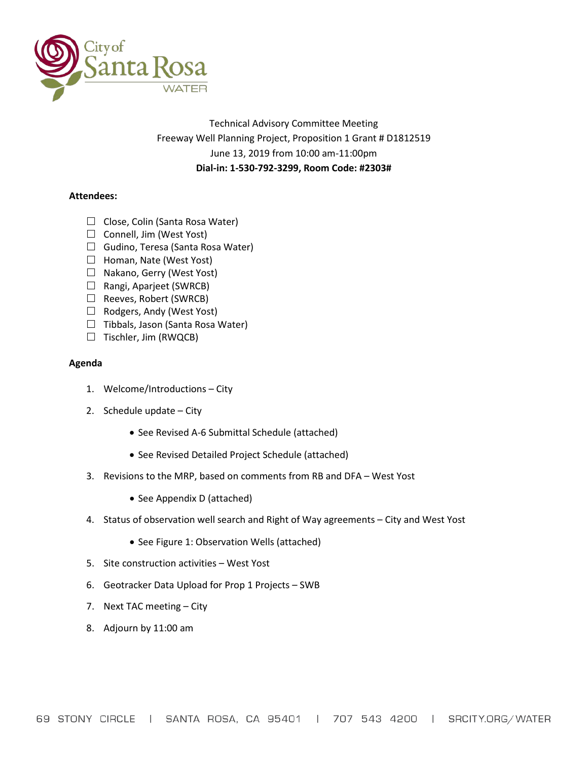

Technical Advisory Committee Meeting Freeway Well Planning Project, Proposition 1 Grant # D1812519 June 13, 2019 from 10:00 am-11:00pm **Dial-in: 1-530-792-3299, Room Code: #2303#**

### **Attendees:**

- $\Box$  Close, Colin (Santa Rosa Water)
- $\Box$  Connell, Jim (West Yost)
- $\Box$  Gudino, Teresa (Santa Rosa Water)
- $\Box$  Homan, Nate (West Yost)
- $\Box$  Nakano, Gerry (West Yost)
- $\Box$  Rangi, Aparjeet (SWRCB)
- $\Box$  Reeves, Robert (SWRCB)
- $\Box$  Rodgers, Andy (West Yost)
- $\Box$  Tibbals, Jason (Santa Rosa Water)
- $\Box$  Tischler, Jim (RWQCB)

#### **Agenda**

- 1. Welcome/Introductions City
- 2. Schedule update City
	- See Revised A-6 Submittal Schedule (attached)
	- See Revised Detailed Project Schedule (attached)
- 3. Revisions to the MRP, based on comments from RB and DFA West Yost
	- See Appendix D (attached)
- 4. Status of observation well search and Right of Way agreements City and West Yost
	- See Figure 1: Observation Wells (attached)
- 5. Site construction activities West Yost
- 6. Geotracker Data Upload for Prop 1 Projects SWB
- 7. Next TAC meeting City
- 8. Adjourn by 11:00 am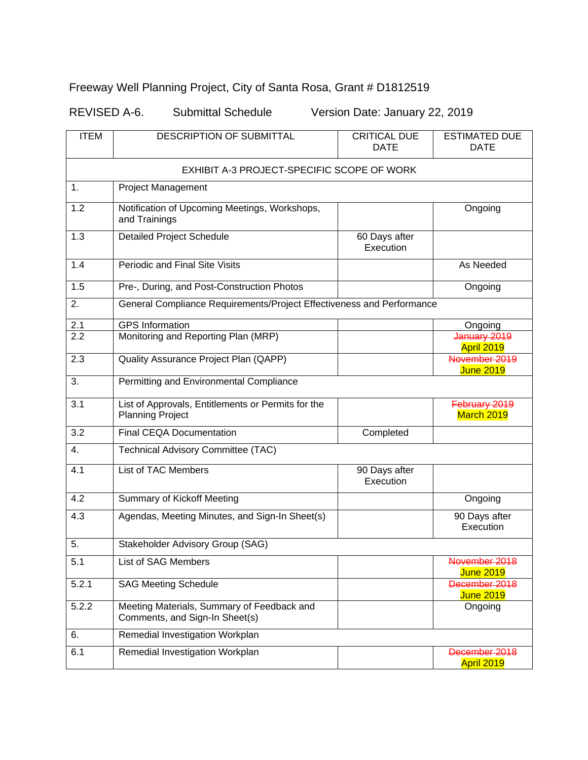## Freeway Well Planning Project, City of Santa Rosa, Grant # D1812519

REVISED A-6. Submittal Schedule Version Date: January 22, 2019

| <b>ITEM</b>                                | <b>DESCRIPTION OF SUBMITTAL</b>                                               | <b>CRITICAL DUE</b><br><b>DATE</b> | <b>ESTIMATED DUE</b><br><b>DATE</b> |  |  |  |  |  |  |  |  |  |
|--------------------------------------------|-------------------------------------------------------------------------------|------------------------------------|-------------------------------------|--|--|--|--|--|--|--|--|--|
| EXHIBIT A-3 PROJECT-SPECIFIC SCOPE OF WORK |                                                                               |                                    |                                     |  |  |  |  |  |  |  |  |  |
| $\mathbf{1}$ .                             | <b>Project Management</b>                                                     |                                    |                                     |  |  |  |  |  |  |  |  |  |
| 1.2                                        | Notification of Upcoming Meetings, Workshops,<br>and Trainings                | Ongoing                            |                                     |  |  |  |  |  |  |  |  |  |
| 1.3                                        | <b>Detailed Project Schedule</b>                                              |                                    |                                     |  |  |  |  |  |  |  |  |  |
| 1.4                                        | Periodic and Final Site Visits                                                | As Needed                          |                                     |  |  |  |  |  |  |  |  |  |
| 1.5                                        | Pre-, During, and Post-Construction Photos                                    | Ongoing                            |                                     |  |  |  |  |  |  |  |  |  |
| 2.                                         | General Compliance Requirements/Project Effectiveness and Performance         |                                    |                                     |  |  |  |  |  |  |  |  |  |
| 2.1                                        | <b>GPS</b> Information                                                        |                                    | Ongoing                             |  |  |  |  |  |  |  |  |  |
| 2.2                                        | Monitoring and Reporting Plan (MRP)                                           |                                    | January 2019<br>April 2019          |  |  |  |  |  |  |  |  |  |
| 2.3                                        | Quality Assurance Project Plan (QAPP)                                         |                                    | November 2019<br><b>June 2019</b>   |  |  |  |  |  |  |  |  |  |
| 3.                                         | Permitting and Environmental Compliance                                       |                                    |                                     |  |  |  |  |  |  |  |  |  |
| 3.1                                        | List of Approvals, Entitlements or Permits for the<br><b>Planning Project</b> |                                    | February 2019<br>March 2019         |  |  |  |  |  |  |  |  |  |
| 3.2                                        | <b>Final CEQA Documentation</b>                                               | Completed                          |                                     |  |  |  |  |  |  |  |  |  |
| $\overline{4}$ .                           | Technical Advisory Committee (TAC)                                            |                                    |                                     |  |  |  |  |  |  |  |  |  |
| 4.1                                        | List of TAC Members                                                           | 90 Days after<br>Execution         |                                     |  |  |  |  |  |  |  |  |  |
| 4.2                                        | Summary of Kickoff Meeting                                                    |                                    | Ongoing                             |  |  |  |  |  |  |  |  |  |
| 4.3                                        | Agendas, Meeting Minutes, and Sign-In Sheet(s)                                |                                    | 90 Days after<br>Execution          |  |  |  |  |  |  |  |  |  |
| 5.                                         | Stakeholder Advisory Group (SAG)                                              |                                    |                                     |  |  |  |  |  |  |  |  |  |
| 5.1                                        | List of SAG Members                                                           |                                    | November 2018<br><b>June 2019</b>   |  |  |  |  |  |  |  |  |  |
| 5.2.1                                      | <b>SAG Meeting Schedule</b>                                                   |                                    | December 2018<br><b>June 2019</b>   |  |  |  |  |  |  |  |  |  |
| 5.2.2                                      | Meeting Materials, Summary of Feedback and<br>Comments, and Sign-In Sheet(s)  |                                    | Ongoing                             |  |  |  |  |  |  |  |  |  |
| 6.                                         | Remedial Investigation Workplan                                               |                                    |                                     |  |  |  |  |  |  |  |  |  |
| 6.1                                        | Remedial Investigation Workplan                                               |                                    | December 2018<br>April 2019         |  |  |  |  |  |  |  |  |  |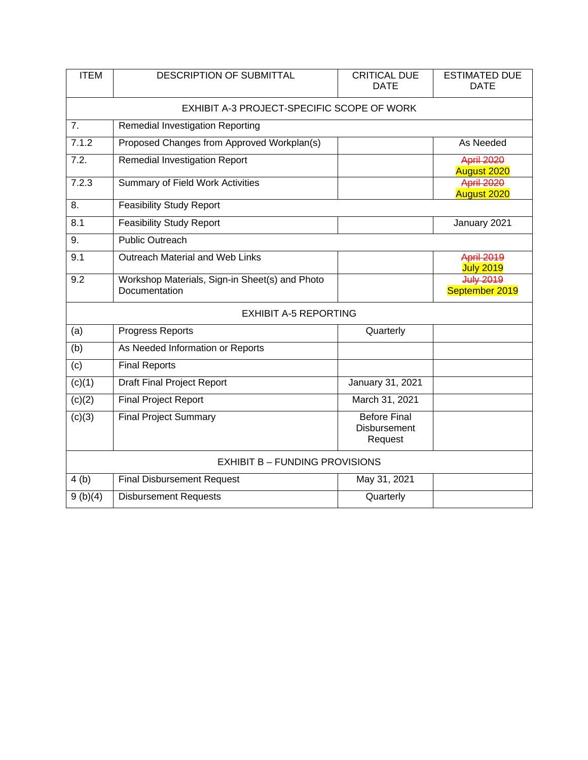| <b>ITEM</b>                           | <b>DESCRIPTION OF SUBMITTAL</b>                                                       | <b>CRITICAL DUE</b><br><b>DATE</b>      | <b>ESTIMATED DUE</b><br><b>DATE</b> |  |  |  |  |  |  |  |  |  |  |
|---------------------------------------|---------------------------------------------------------------------------------------|-----------------------------------------|-------------------------------------|--|--|--|--|--|--|--|--|--|--|
|                                       | EXHIBIT A-3 PROJECT-SPECIFIC SCOPE OF WORK                                            |                                         |                                     |  |  |  |  |  |  |  |  |  |  |
| 7.                                    | Remedial Investigation Reporting                                                      |                                         |                                     |  |  |  |  |  |  |  |  |  |  |
| 7.1.2                                 | Proposed Changes from Approved Workplan(s)                                            | As Needed                               |                                     |  |  |  |  |  |  |  |  |  |  |
| 7.2.                                  | <b>Remedial Investigation Report</b>                                                  | <b>April 2020</b><br><b>August 2020</b> |                                     |  |  |  |  |  |  |  |  |  |  |
| 7.2.3                                 | <b>Summary of Field Work Activities</b>                                               | <b>April 2020</b><br><b>August 2020</b> |                                     |  |  |  |  |  |  |  |  |  |  |
| 8.                                    | <b>Feasibility Study Report</b>                                                       |                                         |                                     |  |  |  |  |  |  |  |  |  |  |
| 8.1                                   | <b>Feasibility Study Report</b>                                                       |                                         | January 2021                        |  |  |  |  |  |  |  |  |  |  |
| 9.                                    | <b>Public Outreach</b>                                                                |                                         |                                     |  |  |  |  |  |  |  |  |  |  |
| 9.1                                   | Outreach Material and Web Links                                                       | April 2019<br><b>July 2019</b>          |                                     |  |  |  |  |  |  |  |  |  |  |
| 9.2                                   | Workshop Materials, Sign-in Sheet(s) and Photo<br>Documentation                       | July 2019<br>September 2019             |                                     |  |  |  |  |  |  |  |  |  |  |
|                                       |                                                                                       |                                         |                                     |  |  |  |  |  |  |  |  |  |  |
| (a)                                   | Progress Reports                                                                      |                                         |                                     |  |  |  |  |  |  |  |  |  |  |
| (b)                                   | As Needed Information or Reports                                                      |                                         |                                     |  |  |  |  |  |  |  |  |  |  |
| (c)                                   | <b>Final Reports</b>                                                                  |                                         |                                     |  |  |  |  |  |  |  |  |  |  |
| (c)(1)                                | <b>Draft Final Project Report</b>                                                     |                                         |                                     |  |  |  |  |  |  |  |  |  |  |
| (c)(2)                                | <b>Final Project Report</b>                                                           |                                         |                                     |  |  |  |  |  |  |  |  |  |  |
| (c)(3)                                | <b>Before Final</b><br><b>Final Project Summary</b><br><b>Disbursement</b><br>Request |                                         |                                     |  |  |  |  |  |  |  |  |  |  |
| <b>EXHIBIT B - FUNDING PROVISIONS</b> |                                                                                       |                                         |                                     |  |  |  |  |  |  |  |  |  |  |
| 4(b)                                  | <b>Final Disbursement Request</b>                                                     | May 31, 2021                            |                                     |  |  |  |  |  |  |  |  |  |  |
| 9(b)(4)                               | <b>Disbursement Requests</b>                                                          | Quarterly                               |                                     |  |  |  |  |  |  |  |  |  |  |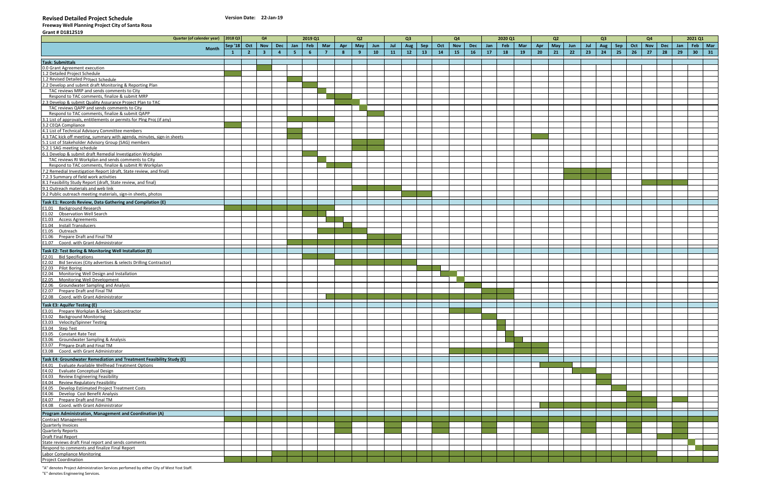#### **Revised Detailed Project Schedule Version Date:**

**Freeway Well Planning Project City of Santa Rosa**

| Grant # D1812519                                                                                                                                         |              |                     |                |                         |                |      |           |                |     |                |     |     |                |     |     |                |     |     |         |     |                 |                   |     |     |     |     |     |     |     |     |           |    |
|----------------------------------------------------------------------------------------------------------------------------------------------------------|--------------|---------------------|----------------|-------------------------|----------------|------|-----------|----------------|-----|----------------|-----|-----|----------------|-----|-----|----------------|-----|-----|---------|-----|-----------------|-------------------|-----|-----|-----|-----|-----|-----|-----|-----|-----------|----|
| Quarter (of calender year)                                                                                                                               |              | 2018 Q3             |                | Q <sub>4</sub>          |                |      | 2019 Q1   |                |     | Q2             |     |     | Q <sub>3</sub> |     |     | Q <sub>4</sub> |     |     | 2020 Q1 |     |                 | Q2                |     |     | Q3  |     |     | Q4  |     |     | 2021 Q1   |    |
|                                                                                                                                                          |              | Sep '18 $\vert$ Oct |                | $\vert$ Nov             | $\vert$ Dec    |      | Jan   Feb | Mar            | Apr | May            | Jun | Jul | Aug            | Sep | Oct | <b>Nov</b>     | Dec | Jan | Feb     | Mar |                 | Apr   May $\vert$ | Jun | Jul | Aug | Sep | Oct | Nov | Dec | Jan | Feb   Mar |    |
|                                                                                                                                                          | <b>Month</b> |                     | $\overline{2}$ | $\overline{\mathbf{3}}$ | $\overline{4}$ | $-5$ | 6         | $\overline{7}$ | 8   | 9 <sup>°</sup> | 10  | 11  | 12             | 13  | 14  | $-15$          | 16  | 17  | 18      | 19  | 20 <sub>2</sub> | 21                | 22  | 23  | 24  | 25  | 26  | 27  | 28  | 29  | $30-1$    | 31 |
|                                                                                                                                                          |              |                     |                |                         |                |      |           |                |     |                |     |     |                |     |     |                |     |     |         |     |                 |                   |     |     |     |     |     |     |     |     |           |    |
| <b>Task: Submittals</b>                                                                                                                                  |              |                     |                |                         |                |      |           |                |     |                |     |     |                |     |     |                |     |     |         |     |                 |                   |     |     |     |     |     |     |     |     |           |    |
| 0.0 Grant Agreement execution                                                                                                                            |              |                     |                |                         |                |      |           |                |     |                |     |     |                |     |     |                |     |     |         |     |                 |                   |     |     |     |     |     |     |     |     |           |    |
| 1.2 Detailed Project Schedule                                                                                                                            |              |                     |                |                         |                |      |           |                |     |                |     |     |                |     |     |                |     |     |         |     |                 |                   |     |     |     |     |     |     |     |     |           |    |
| 1.2 Revised Detailed Project Schedule                                                                                                                    |              |                     |                |                         |                |      |           |                |     |                |     |     |                |     |     |                |     |     |         |     |                 |                   |     |     |     |     |     |     |     |     |           |    |
| 2.2 Develop and submit draft Monitoring & Reporting Plan                                                                                                 |              |                     |                |                         |                |      |           |                |     |                |     |     |                |     |     |                |     |     |         |     |                 |                   |     |     |     |     |     |     |     |     |           |    |
| TAC reviews MRP and sends comments to City                                                                                                               |              |                     |                |                         |                |      |           |                |     |                |     |     |                |     |     |                |     |     |         |     |                 |                   |     |     |     |     |     |     |     |     |           |    |
| Respond to TAC comments, finalize & submit MRP                                                                                                           |              |                     |                |                         |                |      |           |                |     |                |     |     |                |     |     |                |     |     |         |     |                 |                   |     |     |     |     |     |     |     |     |           |    |
| 2.3 Develop & submit Quality Assurance Project Plan to TAC                                                                                               |              |                     |                |                         |                |      |           |                |     |                |     |     |                |     |     |                |     |     |         |     |                 |                   |     |     |     |     |     |     |     |     |           |    |
| TAC reviews QAPP and sends comments to City                                                                                                              |              |                     |                |                         |                |      |           |                |     |                |     |     |                |     |     |                |     |     |         |     |                 |                   |     |     |     |     |     |     |     |     |           |    |
| Respond to TAC comments, finalize & submit QAPP                                                                                                          |              |                     |                |                         |                |      |           |                |     |                |     |     |                |     |     |                |     |     |         |     |                 |                   |     |     |     |     |     |     |     |     |           |    |
| 3.1 List of approvals, entitlements or permits for Plng Proj (if any)                                                                                    |              |                     |                |                         |                |      |           |                |     |                |     |     |                |     |     |                |     |     |         |     |                 |                   |     |     |     |     |     |     |     |     |           |    |
| 3.2 CEQA Compliance                                                                                                                                      |              |                     |                |                         |                |      |           |                |     |                |     |     |                |     |     |                |     |     |         |     |                 |                   |     |     |     |     |     |     |     |     |           |    |
| 4.1 List of Technical Advisory Committee members                                                                                                         |              |                     |                |                         |                |      |           |                |     |                |     |     |                |     |     |                |     |     |         |     |                 |                   |     |     |     |     |     |     |     |     |           |    |
| 4.3 TAC kick off meeting, summary with agenda, minutes, sign-in sheets                                                                                   |              |                     |                |                         |                |      |           |                |     |                |     |     |                |     |     |                |     |     |         |     |                 |                   |     |     |     |     |     |     |     |     |           |    |
| 5.1 List of Stakeholder Advisory Group (SAG) members                                                                                                     |              |                     |                |                         |                |      |           |                |     |                |     |     |                |     |     |                |     |     |         |     |                 |                   |     |     |     |     |     |     |     |     |           |    |
| 5.2.1 SAG meeting schedule<br>6.1 Develop & submit draft Remedial Investigation Workplan                                                                 |              |                     |                |                         |                |      |           |                |     |                |     |     |                |     |     |                |     |     |         |     |                 |                   |     |     |     |     |     |     |     |     |           |    |
| TAC reviews RI Workplan and sends comments to City                                                                                                       |              |                     |                |                         |                |      |           |                |     |                |     |     |                |     |     |                |     |     |         |     |                 |                   |     |     |     |     |     |     |     |     |           |    |
| Respond to TAC comments, finalize & submit RI Workplan                                                                                                   |              |                     |                |                         |                |      |           |                |     |                |     |     |                |     |     |                |     |     |         |     |                 |                   |     |     |     |     |     |     |     |     |           |    |
| 7.2 Remedial Investigation Report (draft, State review, and final)                                                                                       |              |                     |                |                         |                |      |           |                |     |                |     |     |                |     |     |                |     |     |         |     |                 |                   |     |     |     |     |     |     |     |     |           |    |
| 7.2.3 Summary of field work activities                                                                                                                   |              |                     |                |                         |                |      |           |                |     |                |     |     |                |     |     |                |     |     |         |     |                 |                   |     |     |     |     |     |     |     |     |           |    |
| 8.1 Feasibility Study Report (draft, State review, and final)                                                                                            |              |                     |                |                         |                |      |           |                |     |                |     |     |                |     |     |                |     |     |         |     |                 |                   |     |     |     |     |     |     |     |     |           |    |
|                                                                                                                                                          |              |                     |                |                         |                |      |           |                |     |                |     |     |                |     |     |                |     |     |         |     |                 |                   |     |     |     |     |     |     |     |     |           |    |
| 9.1 Outreach materials and web link<br>9.2 Public outreach meeting materials, sign-in sheets, photos                                                     |              |                     |                |                         |                |      |           |                |     |                |     |     |                |     |     |                |     |     |         |     |                 |                   |     |     |     |     |     |     |     |     |           |    |
| Task E1: Records Review, Data Gathering and Compilation (E)                                                                                              |              |                     |                |                         |                |      |           |                |     |                |     |     |                |     |     |                |     |     |         |     |                 |                   |     |     |     |     |     |     |     |     |           |    |
|                                                                                                                                                          |              |                     |                |                         |                |      |           |                |     |                |     |     |                |     |     |                |     |     |         |     |                 |                   |     |     |     |     |     |     |     |     |           |    |
| E1.01 Background Research                                                                                                                                |              |                     |                |                         |                |      |           |                |     |                |     |     |                |     |     |                |     |     |         |     |                 |                   |     |     |     |     |     |     |     |     |           |    |
| E1.02 Observation Well Search<br>E1.03 Access Agreements                                                                                                 |              |                     |                |                         |                |      |           |                |     |                |     |     |                |     |     |                |     |     |         |     |                 |                   |     |     |     |     |     |     |     |     |           |    |
|                                                                                                                                                          |              |                     |                |                         |                |      |           |                |     |                |     |     |                |     |     |                |     |     |         |     |                 |                   |     |     |     |     |     |     |     |     |           |    |
| E1.04 Install Transducers                                                                                                                                |              |                     |                |                         |                |      |           |                |     |                |     |     |                |     |     |                |     |     |         |     |                 |                   |     |     |     |     |     |     |     |     |           |    |
|                                                                                                                                                          |              |                     |                |                         |                |      |           |                |     |                |     |     |                |     |     |                |     |     |         |     |                 |                   |     |     |     |     |     |     |     |     |           |    |
| E1.06 Prepare Draft and Final TM<br>E1.07 Coord. with Grant Administrator                                                                                |              |                     |                |                         |                |      |           |                |     |                |     |     |                |     |     |                |     |     |         |     |                 |                   |     |     |     |     |     |     |     |     |           |    |
|                                                                                                                                                          |              |                     |                |                         |                |      |           |                |     |                |     |     |                |     |     |                |     |     |         |     |                 |                   |     |     |     |     |     |     |     |     |           |    |
| Task E2: Test Boring & Monitoring Well Installation (E)                                                                                                  |              |                     |                |                         |                |      |           |                |     |                |     |     |                |     |     |                |     |     |         |     |                 |                   |     |     |     |     |     |     |     |     |           |    |
| E2.01 Bid Specifications                                                                                                                                 |              |                     |                |                         |                |      |           |                |     |                |     |     |                |     |     |                |     |     |         |     |                 |                   |     |     |     |     |     |     |     |     |           |    |
| E2.02 Bid Services (City advertises & selects Drilling Contractor)<br>E2.03 Pilot Boring                                                                 |              |                     |                |                         |                |      |           |                |     |                |     |     |                |     |     |                |     |     |         |     |                 |                   |     |     |     |     |     |     |     |     |           |    |
|                                                                                                                                                          |              |                     |                |                         |                |      |           |                |     |                |     |     |                |     |     |                |     |     |         |     |                 |                   |     |     |     |     |     |     |     |     |           |    |
| E2.04 Monitoring Well Design and Installation                                                                                                            |              |                     |                |                         |                |      |           |                |     |                |     |     |                |     |     |                |     |     |         |     |                 |                   |     |     |     |     |     |     |     |     |           |    |
| E2.05 Monitoring Well Development                                                                                                                        |              |                     |                |                         |                |      |           |                |     |                |     |     |                |     |     |                |     |     |         |     |                 |                   |     |     |     |     |     |     |     |     |           |    |
| E2.06 Groundwater Sampling and Analysis                                                                                                                  |              |                     |                |                         |                |      |           |                |     |                |     |     |                |     |     |                |     |     |         |     |                 |                   |     |     |     |     |     |     |     |     |           |    |
| E2.07 Prepare Draft and Final TM                                                                                                                         |              |                     |                |                         |                |      |           |                |     |                |     |     |                |     |     |                |     |     |         |     |                 |                   |     |     |     |     |     |     |     |     |           |    |
| E2.08 Coord. with Grant Administrator                                                                                                                    |              |                     |                |                         |                |      |           |                |     |                |     |     |                |     |     |                |     |     |         |     |                 |                   |     |     |     |     |     |     |     |     |           |    |
| Task E3: Aquifer Testing (E)                                                                                                                             |              |                     |                |                         |                |      |           |                |     |                |     |     |                |     |     |                |     |     |         |     |                 |                   |     |     |     |     |     |     |     |     |           |    |
| E3.01 Prepare Workplan & Select Subcontractor<br>E3.02 Background Monitoring                                                                             |              |                     |                |                         |                |      |           |                |     |                |     |     |                |     |     |                |     |     |         |     |                 |                   |     |     |     |     |     |     |     |     |           |    |
|                                                                                                                                                          |              |                     |                |                         |                |      |           |                |     |                |     |     |                |     |     |                |     |     |         |     |                 |                   |     |     |     |     |     |     |     |     |           |    |
|                                                                                                                                                          |              |                     |                |                         |                |      |           |                |     |                |     |     |                |     |     |                |     |     |         |     |                 |                   |     |     |     |     |     |     |     |     |           |    |
|                                                                                                                                                          |              |                     |                |                         |                |      |           |                |     |                |     |     |                |     |     |                |     |     |         |     |                 |                   |     |     |     |     |     |     |     |     |           |    |
|                                                                                                                                                          |              |                     |                |                         |                |      |           |                |     |                |     |     |                |     |     |                |     |     |         |     |                 |                   |     |     |     |     |     |     |     |     |           |    |
| E3.03 Velocity/Spinner Testing<br>E3.03 Velocity/Spinner Testing<br>E3.04 Step Test<br>E3.05 Constant Rate Test<br>E3.06 Groundwater Sampling & Analysis |              |                     |                |                         |                |      |           |                |     |                |     |     |                |     |     |                |     |     |         |     |                 |                   |     |     |     |     |     |     |     |     |           |    |
| E3.07 Prepare Draft and Final TM                                                                                                                         |              |                     |                |                         |                |      |           |                |     |                |     |     |                |     |     |                |     |     |         |     |                 |                   |     |     |     |     |     |     |     |     |           |    |
| E3.08 Coord. with Grant Administrator                                                                                                                    |              |                     |                |                         |                |      |           |                |     |                |     |     |                |     |     |                |     |     |         |     |                 |                   |     |     |     |     |     |     |     |     |           |    |
| Task E4: Groundwater Remediation and Treatment Feasibility Study (E)                                                                                     |              |                     |                |                         |                |      |           |                |     |                |     |     |                |     |     |                |     |     |         |     |                 |                   |     |     |     |     |     |     |     |     |           |    |
| E4.01 Evaluate Available Wellhead Treatment Options                                                                                                      |              |                     |                |                         |                |      |           |                |     |                |     |     |                |     |     |                |     |     |         |     |                 |                   |     |     |     |     |     |     |     |     |           |    |
| E4.02 Evaluate Conceptual Design<br>E4.03 Review Engineering Feasibility                                                                                 |              |                     |                |                         |                |      |           |                |     |                |     |     |                |     |     |                |     |     |         |     |                 |                   |     |     |     |     |     |     |     |     |           |    |
|                                                                                                                                                          |              |                     |                |                         |                |      |           |                |     |                |     |     |                |     |     |                |     |     |         |     |                 |                   |     |     |     |     |     |     |     |     |           |    |
| E4.04 Review Regulatory Feasibility                                                                                                                      |              |                     |                |                         |                |      |           |                |     |                |     |     |                |     |     |                |     |     |         |     |                 |                   |     |     |     |     |     |     |     |     |           |    |
| E4.05 Develop Estiimated Project Treatment Costs                                                                                                         |              |                     |                |                         |                |      |           |                |     |                |     |     |                |     |     |                |     |     |         |     |                 |                   |     |     |     |     |     |     |     |     |           |    |
| E4.06 Develop Cost Benefit Analysis                                                                                                                      |              |                     |                |                         |                |      |           |                |     |                |     |     |                |     |     |                |     |     |         |     |                 |                   |     |     |     |     |     |     |     |     |           |    |
| E4.07 Prepare Draft and Final TM<br>E4.08 Coord. with Grant Administrator                                                                                |              |                     |                |                         |                |      |           |                |     |                |     |     |                |     |     |                |     |     |         |     |                 |                   |     |     |     |     |     |     |     |     |           |    |
|                                                                                                                                                          |              |                     |                |                         |                |      |           |                |     |                |     |     |                |     |     |                |     |     |         |     |                 |                   |     |     |     |     |     |     |     |     |           |    |
| Program Administration, Management and Coordination (A)                                                                                                  |              |                     |                |                         |                |      |           |                |     |                |     |     |                |     |     |                |     |     |         |     |                 |                   |     |     |     |     |     |     |     |     |           |    |
| <b>Contract Management</b>                                                                                                                               |              |                     |                |                         |                |      |           |                |     |                |     |     |                |     |     |                |     |     |         |     |                 |                   |     |     |     |     |     |     |     |     |           |    |
| Quarterly Invoices                                                                                                                                       |              |                     |                |                         |                |      |           |                |     |                |     |     |                |     |     |                |     |     |         |     |                 |                   |     |     |     |     |     |     |     |     |           |    |
|                                                                                                                                                          |              |                     |                |                         |                |      |           |                |     |                |     |     |                |     |     |                |     |     |         |     |                 |                   |     |     |     |     |     |     |     |     |           |    |
| Quarterly Reports<br>Draft Final Report                                                                                                                  |              |                     |                |                         |                |      |           |                |     |                |     |     |                |     |     |                |     |     |         |     |                 |                   |     |     |     |     |     |     |     |     |           |    |
| State reviews draft Final report and sends comments                                                                                                      |              |                     |                |                         |                |      |           |                |     |                |     |     |                |     |     |                |     |     |         |     |                 |                   |     |     |     |     |     |     |     |     |           |    |
| Respond to comments and finalize Final Report                                                                                                            |              |                     |                |                         |                |      |           |                |     |                |     |     |                |     |     |                |     |     |         |     |                 |                   |     |     |     |     |     |     |     |     |           |    |
| Labor Compliance Monitoring                                                                                                                              |              |                     |                |                         |                |      |           |                |     |                |     |     |                |     |     |                |     |     |         |     |                 |                   |     |     |     |     |     |     |     |     |           |    |
| Project Coordination                                                                                                                                     |              |                     |                |                         |                |      |           |                |     |                |     |     |                |     |     |                |     |     |         |     |                 |                   |     |     |     |     |     |     |     |     |           |    |

"A" denotes Project Administration Services perfomed by either City of West Yost Staff.

"E" denotes Engineering Services.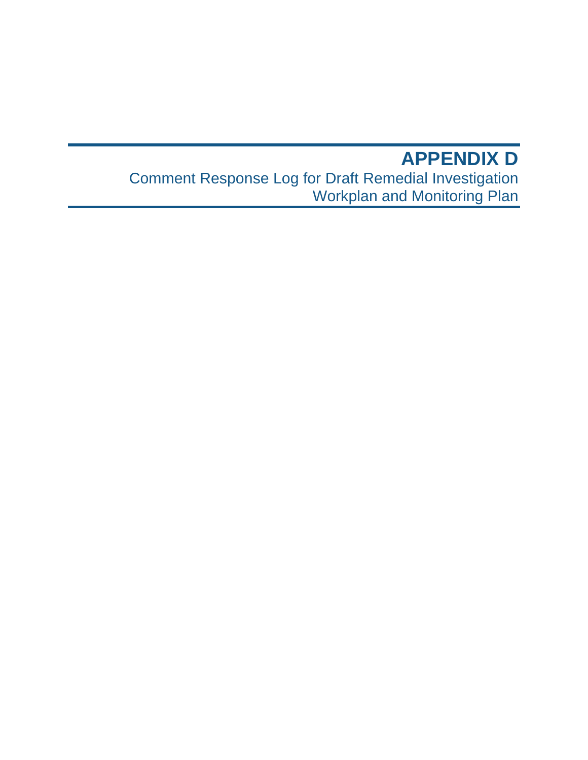# **APPENDIX D** Comment Response Log for Draft Remedial Investigation Workplan and Monitoring Plan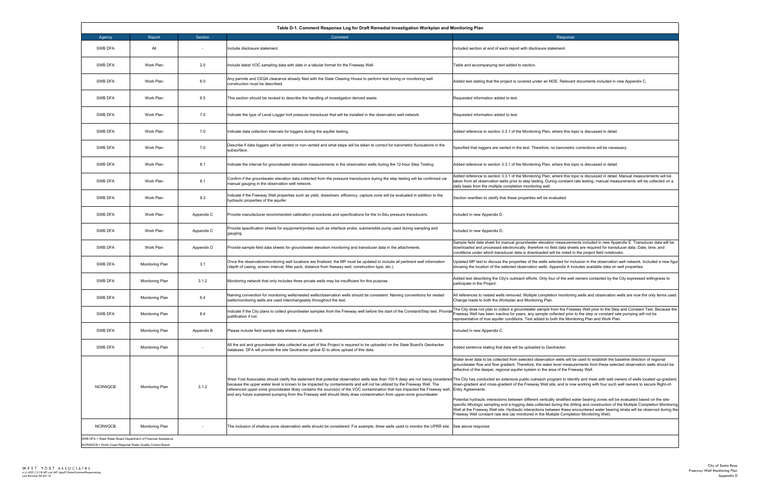| onitoring Plan                                                                                                                                                                                                                                                                                                                                                                                                                                                                                              |
|-------------------------------------------------------------------------------------------------------------------------------------------------------------------------------------------------------------------------------------------------------------------------------------------------------------------------------------------------------------------------------------------------------------------------------------------------------------------------------------------------------------|
| Response                                                                                                                                                                                                                                                                                                                                                                                                                                                                                                    |
| Included section at end of each report with disclosure statement.                                                                                                                                                                                                                                                                                                                                                                                                                                           |
| Table and accompanying text added to section.                                                                                                                                                                                                                                                                                                                                                                                                                                                               |
| Added text stating that the project is covered under an NOE. Relevant documents included in new Appendix C.                                                                                                                                                                                                                                                                                                                                                                                                 |
| Requested information added to text.                                                                                                                                                                                                                                                                                                                                                                                                                                                                        |
| Requested information added to text.                                                                                                                                                                                                                                                                                                                                                                                                                                                                        |
| Added reference to section 3.3.1 of the Monitoring Plan, where this topic is discussed in detail.                                                                                                                                                                                                                                                                                                                                                                                                           |
| Specified that loggers are vented in the text. Therefore, no barometric corrections will be necessary.                                                                                                                                                                                                                                                                                                                                                                                                      |
| Added reference to section 3.3.1 of the Monitoring Plan, where this topic is discussed in detail.                                                                                                                                                                                                                                                                                                                                                                                                           |
| Added reference to section 3.3.1 of the Monitoring Plan, where this topic is discussed in detail. Manual measurements will be<br>taken from all observation wells prior to step testing. During constant rate testing, manual measurements will be collected on a<br>daily basis from the multiple completion monitoring well.                                                                                                                                                                              |
| Section rewritten to clarify that these properties will be evaluated.                                                                                                                                                                                                                                                                                                                                                                                                                                       |
| Included in new Appendix D.                                                                                                                                                                                                                                                                                                                                                                                                                                                                                 |
| Included in new Appendix D.                                                                                                                                                                                                                                                                                                                                                                                                                                                                                 |
| Sample field data sheet for manual groundwater elevation measurements included in new Appendix E. Transducer data will be<br>downloaded and processed electronically, therefore no field data sheets are required for transducer data. Date, time, and<br>conditions under which transducer data is downloaded will be noted in the project field notebooks.                                                                                                                                                |
| Updated MP text to discuss the properties of the wells selected for inclusion in the observation well network. Included a new figur<br>showing the location of the selected observation wells. Appendix A includes available data on well properties.                                                                                                                                                                                                                                                       |
| Added text describing the City's outreach efforts. Only four of the well owners contacted by the City expressed willingness to<br>participate in the Project.                                                                                                                                                                                                                                                                                                                                               |
| All references to nested wells removed. Multiple completion monitoring wells and observation wells are now the only terms used.<br>Change made to both the Workplan and Monitoring Plan.                                                                                                                                                                                                                                                                                                                    |
| The City does not plan to collect a groundwater sample from the Freeway Well prior to the Step and Constant Test. Because the<br>Freeway Well has been inactive for years, any sample collected prior to the step or constant rate pumping will not be<br>representative of true aquifer conditions. Text added to both the Monitoring Plan and Work Plan.                                                                                                                                                  |
| Included in new Appendix C.                                                                                                                                                                                                                                                                                                                                                                                                                                                                                 |
| Added sentence stating that data will be uploaded to Geotracker.                                                                                                                                                                                                                                                                                                                                                                                                                                            |
| Water level data to be collected from selected observation wells will be used to establish the baseline direction of regional<br>groundwater flow and flow gradient. Therefore, the water level measurements from these selected observation wells should be<br>reflective of the deeper, regional aquifer system in the area of the Freeway Well.                                                                                                                                                          |
| The City has conducted an extensive public outreach program to identify and meet with well owners of wells located up-gradient,<br>down-gradient and cross-gradient of the Freeway Well site, and is now working with four such well owners to secure Right-of-<br>Entry Agreements.                                                                                                                                                                                                                        |
| Potential hydraulic interactions between different vertically stratified water bearing zones will be evaluated based on the site-<br>specific lithologic sampling and e-logging data collected during the drilling and construction of the Multiple Completion Monitoring<br>Well at the Freeway Well site. Hydraulic interactions between these encountered water bearing strata will be observed during the<br>Freeway Well constant rate test (as monitored in the Multiple Completion Monitoring Well). |
| See above response                                                                                                                                                                                                                                                                                                                                                                                                                                                                                          |
|                                                                                                                                                                                                                                                                                                                                                                                                                                                                                                             |

| Agency<br><b>SWB DFA</b> | Report                 | Section    |                                                                                                                                                                                                                                                                                                                                                                                 |                                                                                                                                                                                                                                                                                                                                                                                                                                                                                                                                                                                      |
|--------------------------|------------------------|------------|---------------------------------------------------------------------------------------------------------------------------------------------------------------------------------------------------------------------------------------------------------------------------------------------------------------------------------------------------------------------------------|--------------------------------------------------------------------------------------------------------------------------------------------------------------------------------------------------------------------------------------------------------------------------------------------------------------------------------------------------------------------------------------------------------------------------------------------------------------------------------------------------------------------------------------------------------------------------------------|
|                          |                        |            | Comment                                                                                                                                                                                                                                                                                                                                                                         | Response                                                                                                                                                                                                                                                                                                                                                                                                                                                                                                                                                                             |
|                          | All                    |            | nclude disclosure statement.                                                                                                                                                                                                                                                                                                                                                    | Included section at end of each report with disclosure statement                                                                                                                                                                                                                                                                                                                                                                                                                                                                                                                     |
| SWB DFA                  | Work Plan              | 2.0        | Include latest VOC sampling data with date in a tabular format for the Freeway Well.                                                                                                                                                                                                                                                                                            | Table and accompanying text added to section.                                                                                                                                                                                                                                                                                                                                                                                                                                                                                                                                        |
| <b>SWB DFA</b>           | Work Plan              | 6.0        | Any permits and CEQA clearance already filed with the State Clearing House to perform test boring or monitoring well<br>construction must be described.                                                                                                                                                                                                                         | Added text stating that the project is covered under an NOE. Relevant documents included in new Appendix C.                                                                                                                                                                                                                                                                                                                                                                                                                                                                          |
| SWB DFA                  | Work Plan              | 6.5        | This section should be revised to describe the handling of investigation derived waste                                                                                                                                                                                                                                                                                          | Requested information added to text.                                                                                                                                                                                                                                                                                                                                                                                                                                                                                                                                                 |
| SWB DFA                  | Work Plan              | 7.0        | Indicate the type of Level Logger troll pressure transducer that will be installed in the observation well network.                                                                                                                                                                                                                                                             | Requested information added to text.                                                                                                                                                                                                                                                                                                                                                                                                                                                                                                                                                 |
| SWB DFA                  | Work Plan              | 7.0        | ndicate data collection intervals for loggers during the aquifer testing.                                                                                                                                                                                                                                                                                                       | Added reference to section 3.3.1 of the Monitoring Plan, where this topic is discussed in detail.                                                                                                                                                                                                                                                                                                                                                                                                                                                                                    |
| SWB DFA                  | Work Plan              | 7.0        | Describe if data loggers will be vented or non-vented and what steps will be taken to correct for barometric fluctuations in the<br>subsurface.                                                                                                                                                                                                                                 | Specified that loggers are vented in the text. Therefore, no barometric corrections will be necessary.                                                                                                                                                                                                                                                                                                                                                                                                                                                                               |
| SWB DFA                  | Work Plan              | 8.1        | Indicate the interval for groundwater elevation measurements in the observation wells during the 12-hour Step Testing.                                                                                                                                                                                                                                                          | Added reference to section 3.3.1 of the Monitoring Plan, where this topic is discussed in detail.                                                                                                                                                                                                                                                                                                                                                                                                                                                                                    |
| SWB DFA                  | Work Plan              | 8.1        | Confirm if the groundwater elevation data collected from the pressure transducers during the step testing will be confirmed via<br>manual gauging in the observation well network.                                                                                                                                                                                              | Added reference to section 3.3.1 of the Monitoring Plan, where this topic is discussed in detail. Manual measurements will be<br>taken from all observation wells prior to step testing. During constant rate testing, manual measurements will be collected on a<br>daily basis from the multiple completion monitoring well.                                                                                                                                                                                                                                                       |
| <b>SWB DFA</b>           | Work Plan              | 9.3        | ndicate if the Freeway Well properties such as yield, drawdown, efficiency, capture zone will be evaluated in addition to the<br>nydraulic properties of the aquifer.                                                                                                                                                                                                           | Section rewritten to clarify that these properties will be evaluated.                                                                                                                                                                                                                                                                                                                                                                                                                                                                                                                |
| SWB DFA                  | Work Plan              | Appendix C | Provide manufacturer recommended calibration procedures and specifications for the In-Situ pressure transducers.                                                                                                                                                                                                                                                                | Included in new Appendix D.                                                                                                                                                                                                                                                                                                                                                                                                                                                                                                                                                          |
| SWB DFA                  | Work Plan              | Appendix C | Provide specification sheets for equipment/probes such as interface probe, submersible pump used during sampling and<br>gauging.                                                                                                                                                                                                                                                | Included in new Appendix D.                                                                                                                                                                                                                                                                                                                                                                                                                                                                                                                                                          |
| SWB DFA                  | Work Plan              | Appendix D | Provide sample field data sheets for groundwater elevation monitoring and transducer data in the attachments.                                                                                                                                                                                                                                                                   | Sample field data sheet for manual groundwater elevation measurements included in new Appendix E. Transducer data will be<br>downloaded and processed electronically, therefore no field data sheets are required for transducer data. Date, time, and<br>conditions under which transducer data is downloaded will be noted in the project field notebooks.                                                                                                                                                                                                                         |
| SWB DFA                  | Monitoring Plan        | 3.1        | Once the observation/monitoring well locations are finalized, the MP must be updated to include all pertinent well information<br>(depth of casing, screen interval, filter pack, distance from freeway well, construction type, etc.).                                                                                                                                         | Updated MP text to discuss the properties of the wells selected for inclusion in the observation well network. Included a new figur<br>showing the location of the selected observation wells. Appendix A includes available data on well properties.                                                                                                                                                                                                                                                                                                                                |
| SWB DFA                  | Monitoring Plan        | 3.1.2      | Monitoring network that only includes three private wells may be insufficient for this purpose.                                                                                                                                                                                                                                                                                 | Added text describing the City's outreach efforts. Only four of the well owners contacted by the City expressed willingness to<br>participate in the Project.                                                                                                                                                                                                                                                                                                                                                                                                                        |
| <b>SWB DFA</b>           | <b>Monitoring Plan</b> | 6.4        | Naming convention for monitoring wells/nested wells/observation wells should be consistent. Naming conventions for nested<br>vells/monitoring wells are used interchangeably throughout the text.                                                                                                                                                                               | All references to nested wells removed. Multiple completion monitoring wells and observation wells are now the only terms used.<br>Change made to both the Workplan and Monitoring Plan.                                                                                                                                                                                                                                                                                                                                                                                             |
| SWB DFA                  | Monitoring Plan        | 8.4        | ndicate if the City plans to collect groundwater samples from the Freeway well before the start of the Constant/Step test. Provide<br>justification if not.                                                                                                                                                                                                                     | The City does not plan to collect a groundwater sample from the Freeway Well prior to the Step and Constant Test. Because the<br>Freeway Well has been inactive for years, any sample collected prior to the step or constant rate pumping will not be<br>representative of true aquifer conditions. Text added to both the Monitoring Plan and Work Plan                                                                                                                                                                                                                            |
| SWB DFA                  | Monitoring Plan        | Appendix B | Please include field sample data sheets in Appendix B.                                                                                                                                                                                                                                                                                                                          | Included in new Appendix C.                                                                                                                                                                                                                                                                                                                                                                                                                                                                                                                                                          |
| SWB DFA                  | Monitoring Plan        |            | All the soil and groundwater data collected as part of this Project is required to be uploaded on the State Board's Geotracker<br>database. DFA will provide the site Geotracker global ID to allow upload of this data.                                                                                                                                                        | Added sentence stating that data will be uploaded to Geotracker.                                                                                                                                                                                                                                                                                                                                                                                                                                                                                                                     |
|                          |                        |            |                                                                                                                                                                                                                                                                                                                                                                                 | Water level data to be collected from selected observation wells will be used to establish the baseline direction of regional<br>groundwater flow and flow gradient. Therefore, the water level measurements from these selected observation wells should be<br>reflective of the deeper, regional aquifer system in the area of the Freeway Well.<br>West Yost Associates should clarify the statement that potential observation wells less than 100 ft deep are not being considered The City has conducted an extensive public outreach program to identify and meet with well o |
| <b>NCRWQCB</b>           | Monitoring Plan        | 3.1.2      | because the upper water level is known to be impacted by contaminants and will not be utilized by the Freeway Well. The<br>referenced upper-zone groundwater likely contains the source(s) of the VOC contamination that has impacted the Freeway well,<br>and any future sustained pumping from the Freeway well should likely draw contamination from upper-zone groundwater. | down-gradient and cross-gradient of the Freeway Well site, and is now working with four such well owners to secure Right-of-<br>Entry Agreements.<br>Potential hydraulic interactions between different vertically stratified water bearing zones will be evaluated based on the site-                                                                                                                                                                                                                                                                                               |
|                          |                        |            |                                                                                                                                                                                                                                                                                                                                                                                 | specific lithologic sampling and e-logging data collected during the drilling and construction of the Multiple Completion Monitoring<br>Well at the Freeway Well site. Hydraulic interactions between these encountered water bearing strata will be observed during the<br>Freeway Well constant rate test (as monitored in the Multiple Completion Monitoring Well).                                                                                                                                                                                                               |
| <b>NCRWQCB</b>           | Monitoring Plan        |            | The inclusion of shallow-zone observation wells should be considered. For example, three wells used to monitor the UPRR site.                                                                                                                                                                                                                                                   | See above response                                                                                                                                                                                                                                                                                                                                                                                                                                                                                                                                                                   |